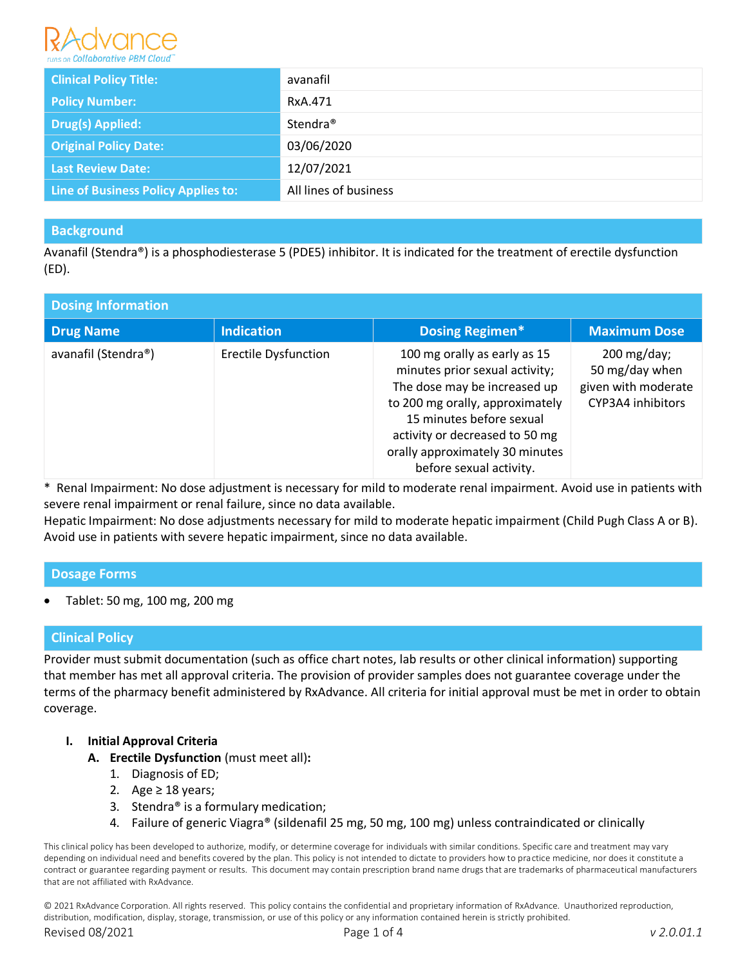

| <b>Clinical Policy Title:</b>       | avanafil              |
|-------------------------------------|-----------------------|
| <b>Policy Number:</b>               | RxA.471               |
| <b>Drug(s) Applied:</b>             | Stendra <sup>®</sup>  |
| <b>Original Policy Date:</b>        | 03/06/2020            |
| <b>Last Review Date:</b>            | 12/07/2021            |
| Line of Business Policy Applies to: | All lines of business |

# **Background**

Avanafil (Stendra®) is a phosphodiesterase 5 (PDE5) inhibitor. It is indicated for the treatment of erectile dysfunction (ED).

| <b>Dosing Information</b> |                             |                                                                                                                                                                                                                                                               |                                                                                         |  |  |  |  |
|---------------------------|-----------------------------|---------------------------------------------------------------------------------------------------------------------------------------------------------------------------------------------------------------------------------------------------------------|-----------------------------------------------------------------------------------------|--|--|--|--|
| <b>Drug Name</b>          | <b>Indication</b>           | <b>Dosing Regimen*</b>                                                                                                                                                                                                                                        | <b>Maximum Dose</b>                                                                     |  |  |  |  |
| avanafil (Stendra®)       | <b>Erectile Dysfunction</b> | 100 mg orally as early as 15<br>minutes prior sexual activity;<br>The dose may be increased up<br>to 200 mg orally, approximately<br>15 minutes before sexual<br>activity or decreased to 50 mg<br>orally approximately 30 minutes<br>before sexual activity. | $200 \,\mathrm{mg/day}$ ;<br>50 mg/day when<br>given with moderate<br>CYP3A4 inhibitors |  |  |  |  |

\* Renal Impairment: No dose adjustment is necessary for mild to moderate renal impairment. Avoid use in patients with severe renal impairment or renal failure, since no data available.

Hepatic Impairment: No dose adjustments necessary for mild to moderate hepatic impairment (Child Pugh Class A or B). Avoid use in patients with severe hepatic impairment, since no data available.

# **Dosage Forms**

Tablet: 50 mg, 100 mg, 200 mg

# **Clinical Policy**

Provider must submit documentation (such as office chart notes, lab results or other clinical information) supporting that member has met all approval criteria. The provision of provider samples does not guarantee coverage under the terms of the pharmacy benefit administered by RxAdvance. All criteria for initial approval must be met in order to obtain coverage.

- **I. Initial Approval Criteria**
	- **A. Erectile Dysfunction** (must meet all)**:**
		- 1. Diagnosis of ED;
		- 2. Age  $\geq$  18 years;
		- 3. Stendra® is a formulary medication;
		- 4. Failure of generic Viagra® (sildenafil 25 mg, 50 mg, 100 mg) unless contraindicated or clinically

This clinical policy has been developed to authorize, modify, or determine coverage for individuals with similar conditions. Specific care and treatment may vary depending on individual need and benefits covered by the plan. This policy is not intended to dictate to providers how to practice medicine, nor does it constitute a contract or guarantee regarding payment or results. This document may contain prescription brand name drugs that are trademarks of pharmaceutical manufacturers that are not affiliated with RxAdvance.

© 2021 RxAdvance Corporation. All rights reserved. This policy contains the confidential and proprietary information of RxAdvance. Unauthorized reproduction, distribution, modification, display, storage, transmission, or use of this policy or any information contained herein is strictly prohibited.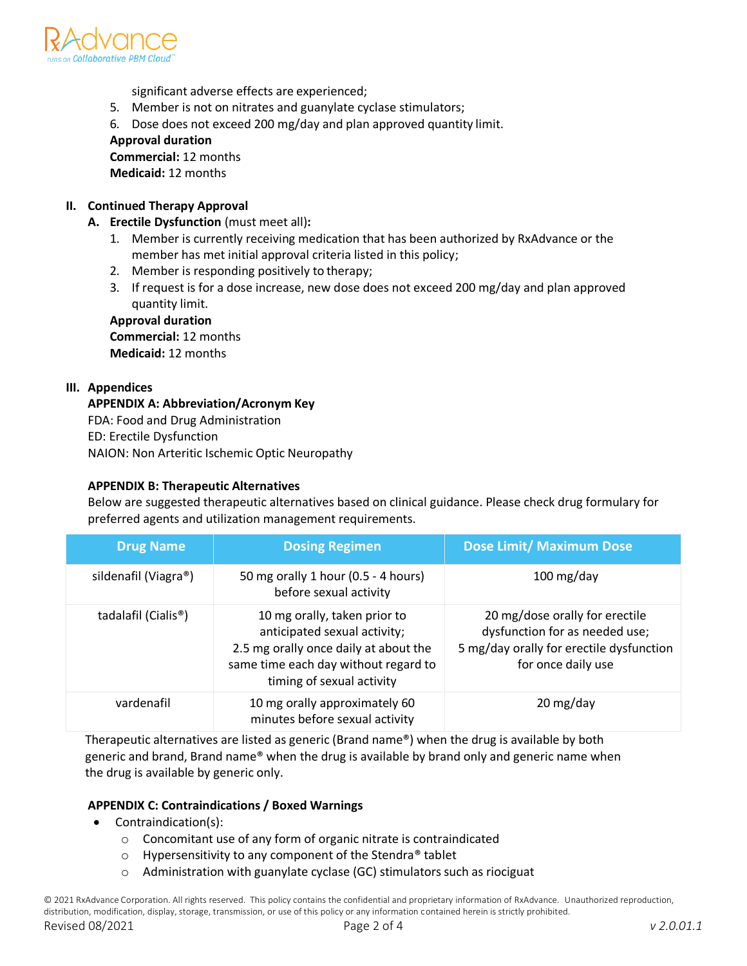

significant adverse effects are experienced;

- 5. Member is not on nitrates and guanylate cyclase stimulators;
- 6. Dose does not exceed 200 mg/day and plan approved quantity limit.

# **Approval duration**

**Commercial:** 12 months **Medicaid:** 12 months

- **II. Continued Therapy Approval A. Erectile Dysfunction** (must meet all)**:**
	- 1. Member is currently receiving medication that has been authorized by RxAdvance or the member has met initial approval criteria listed in this policy;
	- 2. Member is responding positively to therapy;
	- 3. If request is for a dose increase, new dose does not exceed 200 mg/day and plan approved quantity limit.

# **Approval duration**

**Commercial:** 12 months **Medicaid:** 12 months

# **III. Appendices**

# **APPENDIX A: Abbreviation/Acronym Key**

FDA: Food and Drug Administration ED: Erectile Dysfunction NAION: Non Arteritic Ischemic Optic Neuropathy

# **APPENDIX B: Therapeutic Alternatives**

Below are suggested therapeutic alternatives based on clinical guidance. Please check drug formulary for preferred agents and utilization management requirements.

| <b>Drug Name</b>     | <b>Dosing Regimen</b>                                                                                                                                                      | <b>Dose Limit/ Maximum Dose</b>                                                                                                    |
|----------------------|----------------------------------------------------------------------------------------------------------------------------------------------------------------------------|------------------------------------------------------------------------------------------------------------------------------------|
| sildenafil (Viagra®) | 50 mg orally 1 hour (0.5 - 4 hours)<br>before sexual activity                                                                                                              | $100$ mg/day                                                                                                                       |
| tadalafil (Cialis®)  | 10 mg orally, taken prior to<br>anticipated sexual activity;<br>2.5 mg orally once daily at about the<br>same time each day without regard to<br>timing of sexual activity | 20 mg/dose orally for erectile<br>dysfunction for as needed use;<br>5 mg/day orally for erectile dysfunction<br>for once daily use |
| vardenafil           | 10 mg orally approximately 60<br>minutes before sexual activity                                                                                                            | 20 mg/day                                                                                                                          |

Therapeutic alternatives are listed as generic (Brand name®) when the drug is available by both generic and brand, Brand name® when the drug is available by brand only and generic name when the drug is available by generic only.

# **APPENDIX C: Contraindications / Boxed Warnings**

- Contraindication(s):
	- o Concomitant use of any form of organic nitrate is contraindicated
	- $\circ$  Hypersensitivity to any component of the Stendra<sup>®</sup> tablet
	- o Administration with guanylate cyclase (GC) stimulators such as riociguat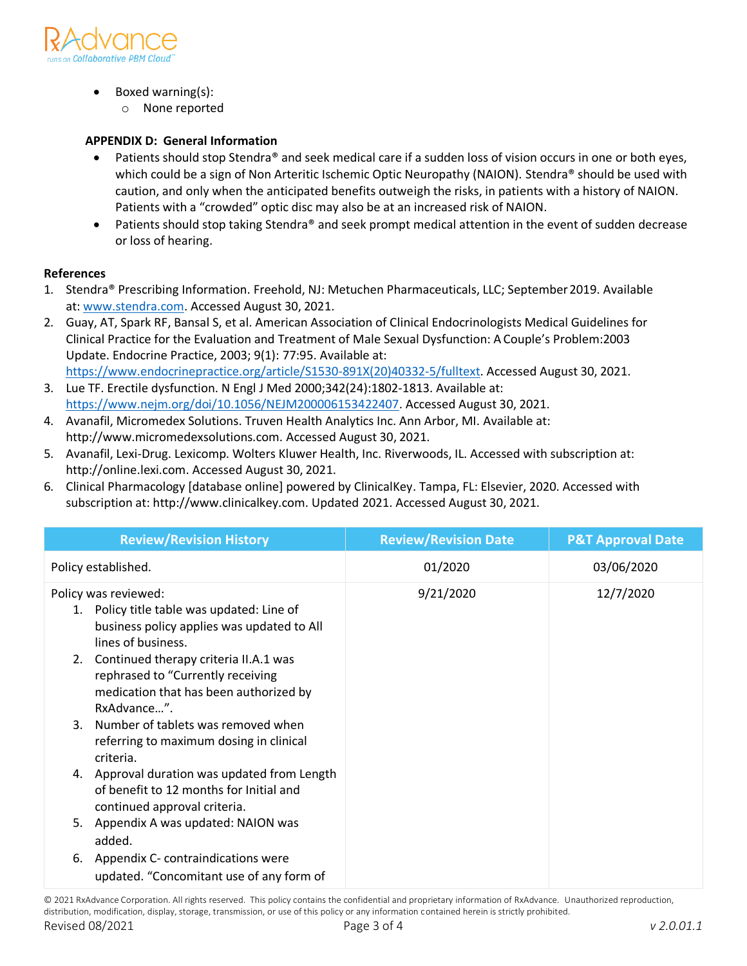

- Boxed warning(s):
	- o None reported

# **APPENDIX D: General Information**

- Patients should stop Stendra® and seek medical care if a sudden loss of vision occurs in one or both eyes, which could be a sign of Non Arteritic Ischemic Optic Neuropathy (NAION). Stendra® should be used with caution, and only when the anticipated benefits outweigh the risks, in patients with a history of NAION. Patients with a "crowded" optic disc may also be at an increased risk of NAION.
- Patients should stop taking Stendra® and seek prompt medical attention in the event of sudden decrease or loss of hearing.

# **References**

- 1. Stendra® Prescribing Information. Freehold, NJ: Metuchen Pharmaceuticals, LLC; September2019. Available at: [www.stendra.com.](http://www.stendra.com/) Accessed August 30, 2021.
- 2. Guay, AT, Spark RF, Bansal S, et al. American Association of Clinical Endocrinologists Medical Guidelines for Clinical Practice for the Evaluation and Treatment of Male Sexual Dysfunction: A Couple's Problem:2003 Update. Endocrine Practice, 2003; 9(1): 77:95. Available at: [https://www.endocrinepractice.org/article/S1530-891X\(20\)40332-5/fulltext.](https://www.endocrinepractice.org/article/S1530-891X(20)40332-5/fulltext) Accessed August 30, 2021.
- 3. Lue TF. Erectile dysfunction. N Engl J Med 2000;342(24):1802-1813. Available at: [https://www.nejm.org/doi/10.1056/NEJM200006153422407.](https://www.nejm.org/doi/10.1056/NEJM200006153422407) Accessed August 30, 2021.
- 4. Avanafil, Micromedex Solutions. Truven Health Analytics Inc. Ann Arbor, MI. Available at: http://www.micromedexsolutions.com. Accessed August 30, 2021.
- 5. Avanafil, Lexi-Drug. Lexicomp. Wolters Kluwer Health, Inc. Riverwoods, IL. Accessed with subscription at: http://online.lexi.com. Accessed August 30, 2021.
- 6. Clinical Pharmacology [database online] powered by ClinicalKey. Tampa, FL: Elsevier, 2020. Accessed with subscription at: http://www.clinicalkey.com. Updated 2021. Accessed August 30, 2021.

| <b>Review/Revision History</b>                                                                                                                                                                                                                                                   | <b>Review/Revision Date</b> | <b>P&amp;T Approval Date</b> |
|----------------------------------------------------------------------------------------------------------------------------------------------------------------------------------------------------------------------------------------------------------------------------------|-----------------------------|------------------------------|
| Policy established.                                                                                                                                                                                                                                                              | 01/2020                     | 03/06/2020                   |
| Policy was reviewed:<br>1. Policy title table was updated: Line of<br>business policy applies was updated to All<br>lines of business.<br>2. Continued therapy criteria II.A.1 was<br>rephrased to "Currently receiving<br>medication that has been authorized by<br>RxAdvance". | 9/21/2020                   | 12/7/2020                    |
| 3. Number of tablets was removed when<br>referring to maximum dosing in clinical<br>criteria.                                                                                                                                                                                    |                             |                              |
| 4. Approval duration was updated from Length<br>of benefit to 12 months for Initial and<br>continued approval criteria.                                                                                                                                                          |                             |                              |
| Appendix A was updated: NAION was<br>5.<br>added.                                                                                                                                                                                                                                |                             |                              |
| Appendix C- contraindications were<br>6.<br>updated. "Concomitant use of any form of                                                                                                                                                                                             |                             |                              |

© 2021 RxAdvance Corporation. All rights reserved. This policy contains the confidential and proprietary information of RxAdvance. Unauthorized reproduction, distribution, modification, display, storage, transmission, or use of this policy or any information contained herein is strictly prohibited.